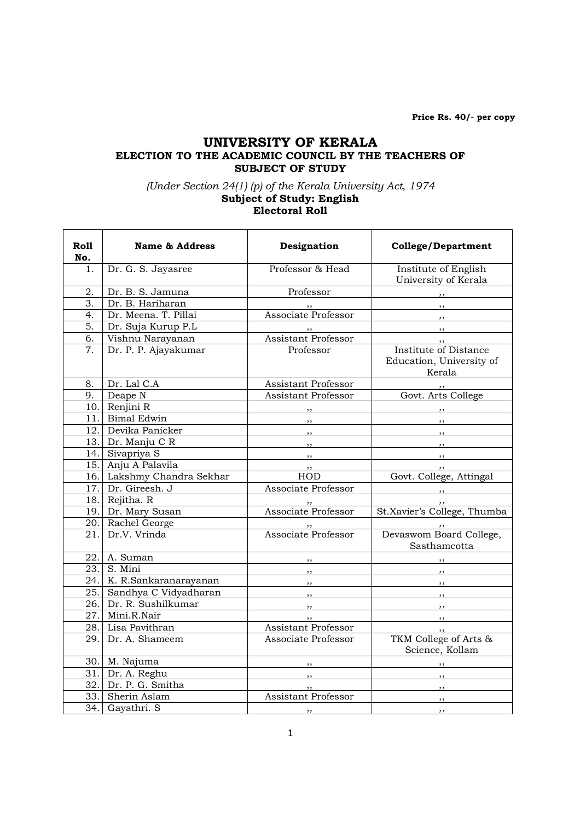Price Rs. 40/- per copy

## UNIVERSITY OF KERALA ELECTION TO THE ACADEMIC COUNCIL BY THE TEACHERS OF SUBJECT OF STUDY

## (Under Section 24(1) (p) of the Kerala University Act, 1974 Subject of Study: English Electoral Roll

| Ro11<br>No. | <b>Name &amp; Address</b> | Designation                | <b>College/Department</b>                                   |
|-------------|---------------------------|----------------------------|-------------------------------------------------------------|
| 1.          | Dr. G. S. Jayasree        | Professor & Head           | Institute of English<br>University of Kerala                |
| 2.          | Dr. B. S. Jamuna          | Professor                  | ,,                                                          |
| 3.          | Dr. B. Hariharan          |                            | $, \, , \,$                                                 |
| 4.          | Dr. Meena. T. Pillai      | Associate Professor        | $, \, \, \cdot$                                             |
| 5.          | Dr. Suja Kurup P.L        |                            |                                                             |
| 6.          | Vishnu Narayanan          | <b>Assistant Professor</b> | , ,                                                         |
| 7.          | Dr. P. P. Ajayakumar      | Professor                  | Institute of Distance<br>Education, University of<br>Kerala |
| 8.          | Dr. Lal C.A               | Assistant Professor        |                                                             |
| 9.          | Deape N                   | Assistant Professor        | Govt. Arts College                                          |
|             | 10. Renjini R             | ,,                         | $, \,$                                                      |
|             | 11. Bimal Edwin           | ,,                         | $, \,$                                                      |
|             | 12. Devika Panicker       | ,,                         | $, \, \, \cdot$                                             |
| 13.1        | Dr. Manju C R             | ,,                         | $, \, , \,$                                                 |
| 14.I        | Sivapriya S               | ,,                         | , ,                                                         |
| 15.         | Anju A Palavila           | , ,                        | $, \,$                                                      |
| 16.         | Lakshmy Chandra Sekhar    | HOD                        | Govt. College, Attingal                                     |
|             | 17. Dr. Gireesh. J        | Associate Professor        |                                                             |
|             | 18. Rejitha. R            |                            | ,,                                                          |
| 19.I        | Dr. Mary Susan            | Associate Professor        | St.Xavier's College, Thumba                                 |
|             | 20. Rachel George         |                            |                                                             |
| 21.         | Dr.V. Vrinda              | Associate Professor        | Devaswom Board College,<br>Sasthamcotta                     |
|             | 22. A. Suman              | , ,                        |                                                             |
|             | 23. S. Mini               | ,,                         |                                                             |
| 24.1        | K. R.Sankaranarayanan     | $, \,$                     | , ,                                                         |
| 25.         | Sandhya C Vidyadharan     | $,$ , $\overline{)}$       | $, \,$                                                      |
| 26.         | Dr. R. Sushilkumar        | , ,                        | $, \,$                                                      |
|             | 27. Mini.R.Nair           | , ,                        | , ,                                                         |
|             | 28. Lisa Pavithran        | <b>Assistant Professor</b> | , ,                                                         |
| 29.         | Dr. A. Shameem            | Associate Professor        | TKM College of Arts &<br>Science, Kollam                    |
|             | 30. M. Najuma             | , ,                        | , ,                                                         |
|             | 31. Dr. A. Reghu          |                            | , ,                                                         |
|             | 32. Dr. P. G. Smitha      | , ,                        | , ,                                                         |
|             | 33. Sherin Aslam          | Assistant Professor        | ,,                                                          |
| 34.         | Gayathri. S               | , ,                        | ,,                                                          |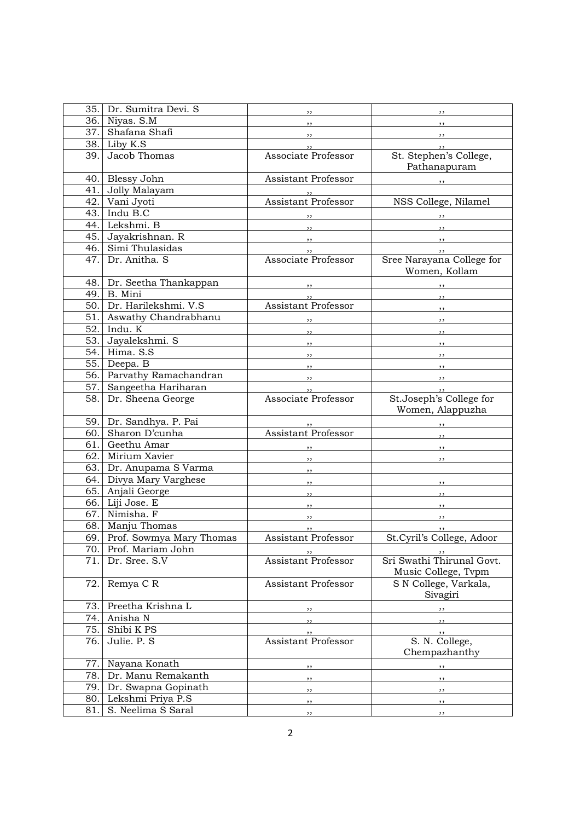| 35.  | Dr. Sumitra Devi. S      | ,,                         | $, \,$                                                                                                         |
|------|--------------------------|----------------------------|----------------------------------------------------------------------------------------------------------------|
| 36.  | Niyas. S.M               | $, \, \, \cdot$            | $\overline{\phantom{a}}$                                                                                       |
| 37.1 | Shafana Shafi            | $, \, \, \cdot$            | $\overline{\phantom{a}}$ , $\overline{\phantom{a}}$                                                            |
| 38.  | Liby K.S                 | $, \,$                     | $, \, , \,$                                                                                                    |
| 39.  | Jacob Thomas             | Associate Professor        | St. Stephen's College,<br>Pathanapuram                                                                         |
| 40.  | Blessy John              | Assistant Professor        | $\overline{\phantom{a}}$                                                                                       |
| 41.  | Jolly Malayam            |                            |                                                                                                                |
| 42.  | Vani Jyoti               | <b>Assistant Professor</b> | NSS College, Nilamel                                                                                           |
| 43.  | Indu B.C                 |                            | $\overline{\phantom{a}}$                                                                                       |
| 44.  | Lekshmi. B               | $\overline{\phantom{a}}$   |                                                                                                                |
| 45.  | Jayakrishnan. R          | $\cdots$                   |                                                                                                                |
| 46.  | Simi Thulasidas          | $, \, \, \cdot$            | $\overline{\phantom{a}}$<br>$\overline{\phantom{a}}$                                                           |
| 47.  | Dr. Anitha. S            | Associate Professor        | Sree Narayana College for<br>Women, Kollam                                                                     |
| 48.  | Dr. Seetha Thankappan    |                            | $\overline{\phantom{a}}$                                                                                       |
| 49.  | B. Mini                  |                            | $\overline{\phantom{a}}$                                                                                       |
| 50.  | Dr. Harilekshmi. V.S     | Assistant Professor        | $\overline{\phantom{a}}$                                                                                       |
| 51.  | Aswathy Chandrabhanu     | , 1                        | $\overline{\phantom{a}}$                                                                                       |
| 52.  | Indu. K                  | $\overline{\phantom{a}}$   | $\overline{\phantom{a}}$                                                                                       |
| 53.  | Jayalekshmi. S           | $, \, \,$                  | $\overline{\phantom{a}}$                                                                                       |
| 54.  | Hima. S.S                | $\overline{\phantom{a}}$   | $\overline{\phantom{a}}$                                                                                       |
| 55.  | Deepa. B                 | $\overline{\phantom{a}}$   | $\overline{\phantom{a}}$                                                                                       |
| 56.  | Parvathy Ramachandran    | $\overline{\phantom{a}}$   | на последните поставите се при поделени се при поделени се при поделени се при поделени се при поделени се при |
| 57.  | Sangeetha Hariharan      |                            | $\overline{\phantom{a}}$                                                                                       |
| 58.  | Dr. Sheena George        | Associate Professor        | St.Joseph's College for<br>Women, Alappuzha                                                                    |
| 59.1 | Dr. Sandhya. P. Pai      |                            |                                                                                                                |
| 60.  | Sharon D'cunha           | Assistant Professor        | ,,                                                                                                             |
| 61.  | Geethu Amar              |                            | $\overline{\phantom{a}}$                                                                                       |
| 62.  | Mirium Xavier            | $, \, \, \cdot$            | $\overline{\phantom{a}}$                                                                                       |
| 63.  | Dr. Anupama S Varma      | $, \, \,$                  |                                                                                                                |
| 64.  | Divya Mary Varghese      | , ,                        | $\overline{\phantom{a}}$                                                                                       |
| 65.  | Anjali George            | , ,                        | , ,                                                                                                            |
| 66.  | Liji Jose. E             | , ,                        | $, \, , \,$                                                                                                    |
| 67.  | Nimisha. F               | $, \,$                     | , ,                                                                                                            |
| 68.  | Manju Thomas             | , ,                        |                                                                                                                |
| 69.  | Prof. Sowmya Mary Thomas | Assistant Professor        | St.Cyril's College, Adoor                                                                                      |
| 70.  | Prof. Mariam John        | , ,                        | , ,                                                                                                            |
| 71.  | Dr. Sree. S.V            | <b>Assistant Professor</b> | Sri Swathi Thirunal Govt.<br>Music College, Tvpm                                                               |
| 72.  | Remya C R                | <b>Assistant Professor</b> | S N College, Varkala,<br>Sivagiri                                                                              |
| 73.  | Preetha Krishna L        | ,,                         | ,,                                                                                                             |
| 74.  | Anisha N                 | ,,                         | $, \, \, \cdot$                                                                                                |
| 75.  | Shibi K PS               | ,,                         | ,,                                                                                                             |
| 76.  | Julie. P. S              | <b>Assistant Professor</b> | S. N. College,<br>Chempazhanthy                                                                                |
| 77.  | Nayana Konath            |                            | ,,                                                                                                             |
| 78.  | Dr. Manu Remakanth       | ,,                         | $\overline{\phantom{a}}$                                                                                       |
| 79.  | Dr. Swapna Gopinath      | ,,                         | $\overline{\phantom{a}}$                                                                                       |
| 80.  | Lekshmi Priya P.S        | ,,                         | $\overline{\phantom{a}}$                                                                                       |
| 81.  | S. Neelima S Saral       | $, \,$                     | $, \, \,$                                                                                                      |
|      |                          |                            |                                                                                                                |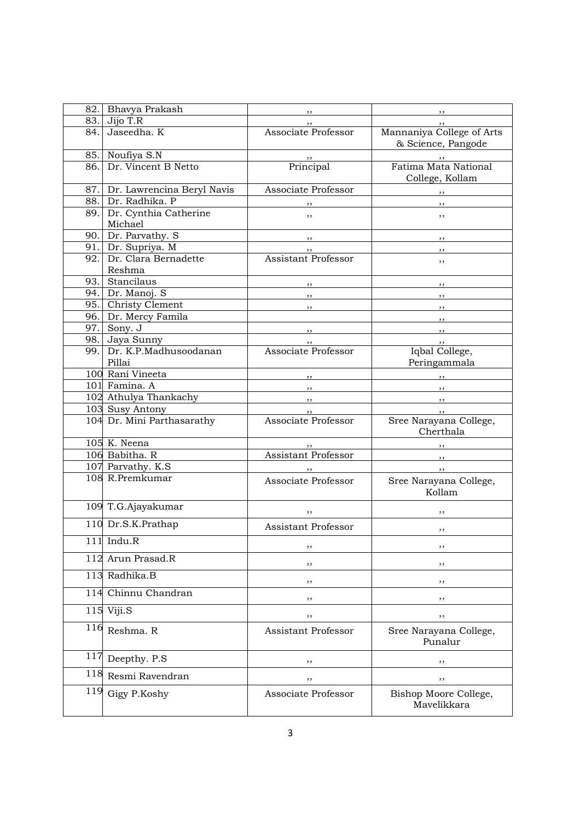| 82.1 | Bhavya Prakash                       | $, \,$                                                                                                                                                                                                                                                                                                                                                                                                                          | $, \,$                                               |
|------|--------------------------------------|---------------------------------------------------------------------------------------------------------------------------------------------------------------------------------------------------------------------------------------------------------------------------------------------------------------------------------------------------------------------------------------------------------------------------------|------------------------------------------------------|
| 83.  | Jijo T.R                             | ,,                                                                                                                                                                                                                                                                                                                                                                                                                              | $, \,$                                               |
| 84.  | Jaseedha. K                          | Associate Professor                                                                                                                                                                                                                                                                                                                                                                                                             | Mannaniya College of Arts<br>& Science, Pangode      |
|      | 85. Noufiya S.N                      |                                                                                                                                                                                                                                                                                                                                                                                                                                 | $, \, \,$                                            |
| 86.  | Dr. Vincent B Netto                  | Principal                                                                                                                                                                                                                                                                                                                                                                                                                       | Fatima Mata National<br>College, Kollam              |
|      | 87. Dr. Lawrencina Beryl Navis       | Associate Professor                                                                                                                                                                                                                                                                                                                                                                                                             | $,$ , $,$                                            |
| 88.  | Dr. Radhika. P                       |                                                                                                                                                                                                                                                                                                                                                                                                                                 |                                                      |
|      | 89. Dr. Cynthia Catherine<br>Michael | ,,                                                                                                                                                                                                                                                                                                                                                                                                                              | ,,                                                   |
|      | 90. Dr. Parvathy. S                  |                                                                                                                                                                                                                                                                                                                                                                                                                                 | $\overline{\phantom{a}}$                             |
|      | 91. Dr. Supriya. M                   |                                                                                                                                                                                                                                                                                                                                                                                                                                 | $, \,$                                               |
| 92.  | Dr. Clara Bernadette<br>Reshma       | Assistant Professor                                                                                                                                                                                                                                                                                                                                                                                                             | ,,                                                   |
|      | 93. Stancilaus                       | $\overline{\phantom{a}}$                                                                                                                                                                                                                                                                                                                                                                                                        | $\overline{\phantom{a}}$                             |
|      | 94. Dr. Manoj. S                     | $, \,$                                                                                                                                                                                                                                                                                                                                                                                                                          | $\overline{\phantom{a}}$                             |
|      | 95. Christy Clement                  | $\overline{\phantom{a}}$                                                                                                                                                                                                                                                                                                                                                                                                        | $\overline{\phantom{a}}$                             |
|      | 96. Dr. Mercy Famila                 |                                                                                                                                                                                                                                                                                                                                                                                                                                 | $\overline{\phantom{a}}$                             |
|      | 97. Sony. J                          | $\overline{\phantom{a}}$                                                                                                                                                                                                                                                                                                                                                                                                        | $\overline{\phantom{a}}$                             |
|      | 98. Jaya Sunny                       |                                                                                                                                                                                                                                                                                                                                                                                                                                 |                                                      |
|      | 99. Dr. K.P.Madhusoodanan            | Associate Professor                                                                                                                                                                                                                                                                                                                                                                                                             | Iqbal College,                                       |
|      | Pillai                               |                                                                                                                                                                                                                                                                                                                                                                                                                                 | Peringammala                                         |
|      | 100 Rani Vineeta                     |                                                                                                                                                                                                                                                                                                                                                                                                                                 |                                                      |
|      | 101 Famina. A                        |                                                                                                                                                                                                                                                                                                                                                                                                                                 |                                                      |
|      | 102 Athulya Thankachy                | , ,                                                                                                                                                                                                                                                                                                                                                                                                                             |                                                      |
|      | 103 Susy Antony                      | $\frac{1}{\sqrt{1-\frac{1}{2}}}\frac{1}{\sqrt{1-\frac{1}{2}}}\frac{1}{\sqrt{1-\frac{1}{2}}}\frac{1}{\sqrt{1-\frac{1}{2}}}\frac{1}{\sqrt{1-\frac{1}{2}}}\frac{1}{\sqrt{1-\frac{1}{2}}}\frac{1}{\sqrt{1-\frac{1}{2}}}\frac{1}{\sqrt{1-\frac{1}{2}}}\frac{1}{\sqrt{1-\frac{1}{2}}}\frac{1}{\sqrt{1-\frac{1}{2}}}\frac{1}{\sqrt{1-\frac{1}{2}}}\frac{1}{\sqrt{1-\frac{1}{2}}}\frac{1}{\sqrt{1-\frac{1}{2}}}\frac{1}{\sqrt{1-\frac{$ | $\overline{\phantom{a}}$                             |
|      | 104 Dr. Mini Parthasarathy           | Associate Professor                                                                                                                                                                                                                                                                                                                                                                                                             | $\frac{1}{2}$<br>Sree Narayana College,<br>Cherthala |
|      | 105 K. Neena                         |                                                                                                                                                                                                                                                                                                                                                                                                                                 |                                                      |
|      | 106 Babitha. R                       | ,,<br>Assistant Professor                                                                                                                                                                                                                                                                                                                                                                                                       | $\overline{\phantom{a}}$                             |
|      | 107 Parvathy. K.S.                   |                                                                                                                                                                                                                                                                                                                                                                                                                                 | $\overline{\phantom{a}}$                             |
|      | 108 R.Premkumar                      | Associate Professor                                                                                                                                                                                                                                                                                                                                                                                                             | Sree Narayana College,<br>Kollam                     |
|      | 109 T.G.Ajayakumar                   |                                                                                                                                                                                                                                                                                                                                                                                                                                 |                                                      |
|      | 110 Dr.S.K.Prathap                   | ,,<br><b>Assistant Professor</b>                                                                                                                                                                                                                                                                                                                                                                                                | , ,<br>,,                                            |
|      | $111$ Indu.R                         | ,,                                                                                                                                                                                                                                                                                                                                                                                                                              | ,,                                                   |
| 112  | Arun Prasad.R                        | ,,                                                                                                                                                                                                                                                                                                                                                                                                                              | ,,                                                   |
|      | 113 Radhika.B                        | ,,                                                                                                                                                                                                                                                                                                                                                                                                                              | ,,                                                   |
| 114  | Chinnu Chandran                      | ,,                                                                                                                                                                                                                                                                                                                                                                                                                              | ,,                                                   |
| 115  | Viji.S                               | ,,                                                                                                                                                                                                                                                                                                                                                                                                                              | ,,                                                   |
| 116  | Reshma. R                            | <b>Assistant Professor</b>                                                                                                                                                                                                                                                                                                                                                                                                      | Sree Narayana College,<br>Punalur                    |
| 117  | Deepthy. P.S                         | ,,                                                                                                                                                                                                                                                                                                                                                                                                                              | ,,                                                   |
| 118  | Resmi Ravendran                      | ,,                                                                                                                                                                                                                                                                                                                                                                                                                              | ,,                                                   |
| 119  | Gigy P.Koshy                         | Associate Professor                                                                                                                                                                                                                                                                                                                                                                                                             | Bishop Moore College,<br>Mavelikkara                 |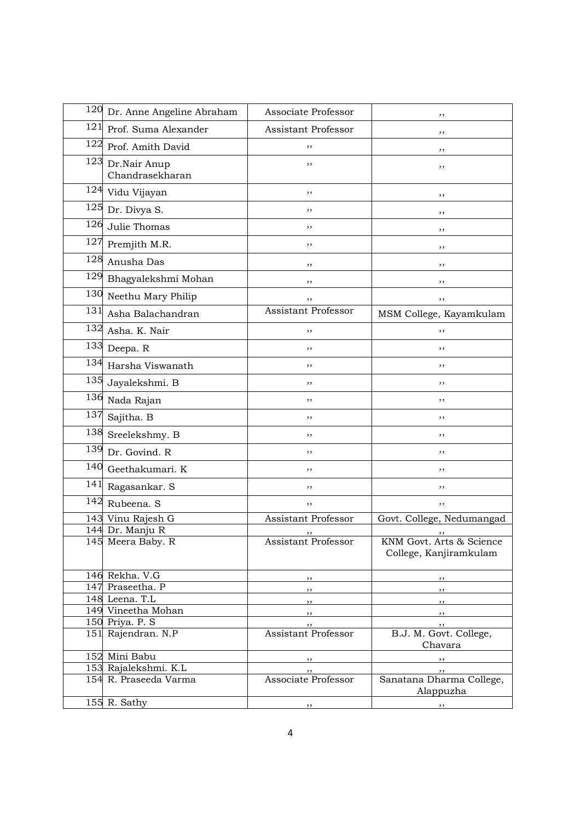| 120 | Dr. Anne Angeline Abraham             | Associate Professor                     | ,,                                                   |
|-----|---------------------------------------|-----------------------------------------|------------------------------------------------------|
| 121 | Prof. Suma Alexander                  | Assistant Professor                     | ,,                                                   |
| 122 | Prof. Amith David                     | ,,                                      | ,,                                                   |
| 123 | Dr.Nair Anup<br>Chandrasekharan       | ,,                                      | ,,                                                   |
| 124 | Vidu Vijayan                          | ,,                                      | , ,                                                  |
| 125 | Dr. Divya S.                          | ,,                                      | ,,                                                   |
| 126 | Julie Thomas                          | ,,                                      | ,,                                                   |
| 127 | Premjith M.R.                         | ,,                                      | ,,                                                   |
| 128 | Anusha Das                            | ,,                                      | ,,                                                   |
| 129 | Bhagyalekshmi Mohan                   | ,,                                      | ,,                                                   |
| 130 | Neethu Mary Philip                    | ,,                                      | ,,                                                   |
| 131 | Asha Balachandran                     | <b>Assistant Professor</b>              | MSM College, Kayamkulam                              |
| 132 | Asha. K. Nair                         | ,,                                      | ,,                                                   |
| 133 | Deepa. R                              | ,,                                      | ,,                                                   |
| 134 | Harsha Viswanath                      | ,,                                      | ,,                                                   |
| 135 | Jayalekshmi. B                        | ,,                                      | ,,                                                   |
| 136 | Nada Rajan                            | ,,                                      | ,,                                                   |
| 137 | Sajitha. B                            | ,,                                      | ,,                                                   |
| 138 | Sreelekshmy. B                        | ,,                                      | ,,                                                   |
| 139 | Dr. Govind. R                         | ,,                                      | ,,                                                   |
| 140 | Geethakumari. K                       | ,,                                      | ,,                                                   |
| 141 | Ragasankar. S                         | ,,                                      | ,,                                                   |
| 142 | Rubeena. S                            | ,,                                      | ,,                                                   |
|     | 143 Vinu Rajesh G                     | <b>Assistant Professor</b>              | Govt. College, Nedumangad                            |
|     | 144 Dr. Manju R                       |                                         |                                                      |
|     | 145 Meera Baby. R                     | Assistant Professor                     | KNM Govt. Arts & Science<br>College, Kanjiramkulam   |
|     | 146 Rekha. V.G                        | $, \, \,$                               | $, \, , \,$                                          |
|     | 147 Praseetha. P                      | $, \, \, \cdot$                         | $\overline{\phantom{a}}$                             |
|     | 148 Leena. T.L                        | $, \, \, \cdot$                         | $\overline{\phantom{a}}$                             |
|     | 149 Vineetha Mohan                    | $\overline{\phantom{a}}$                | $\overline{\phantom{a}}$                             |
|     | 150 Priya. P. S<br>151 Rajendran. N.P | $, \, \,$<br><b>Assistant Professor</b> | $, \, \, \cdot$<br>B.J. M. Govt. College,<br>Chavara |
|     | 152 Mini Babu                         | $, \, \, \cdot$                         | $\overline{\phantom{a}}$ , $\overline{\phantom{a}}$  |
|     | 153 Rajalekshmi. K.L                  | $, \,$                                  | $, \,$                                               |
|     | 154 R. Praseeda Varma                 | Associate Professor                     | Sanatana Dharma College,<br>Alappuzha                |
|     | 155 R. Sathy                          | $, \,$                                  | $, \,$                                               |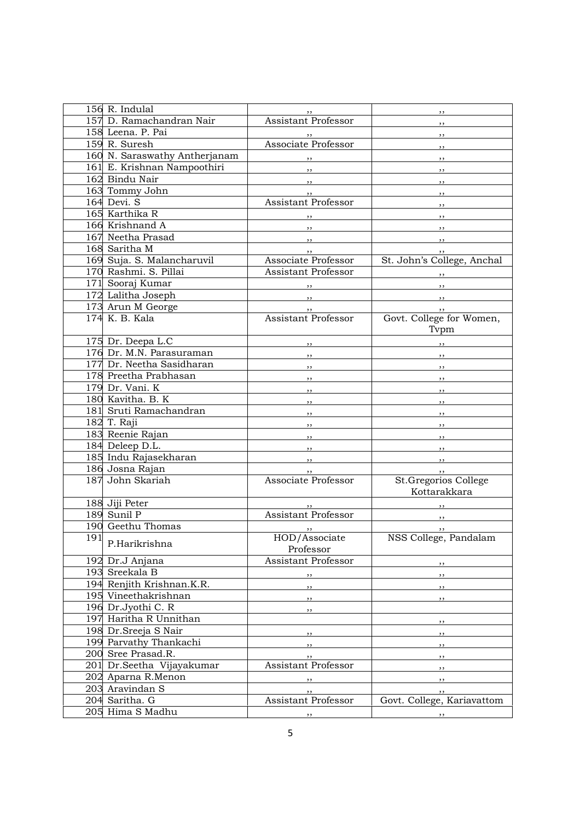|     | 156 R. Indulal                |                                               | $, \,$                                                                                                                                                                                                                                                                                                                                                                                                                                                                     |
|-----|-------------------------------|-----------------------------------------------|----------------------------------------------------------------------------------------------------------------------------------------------------------------------------------------------------------------------------------------------------------------------------------------------------------------------------------------------------------------------------------------------------------------------------------------------------------------------------|
|     | 157 D. Ramachandran Nair      | Assistant Professor                           | , ,                                                                                                                                                                                                                                                                                                                                                                                                                                                                        |
|     | 158 Leena. P. Pai             |                                               | $, \, \, \cdot$                                                                                                                                                                                                                                                                                                                                                                                                                                                            |
|     | 159 R. Suresh                 | Associate Professor                           | $, \, \, \cdot$                                                                                                                                                                                                                                                                                                                                                                                                                                                            |
|     | 160 N. Saraswathy Antherjanam | $, \, \, \cdot$                               | $, \, \, \cdot$                                                                                                                                                                                                                                                                                                                                                                                                                                                            |
|     | 161 E. Krishnan Nampoothiri   | $\overline{\phantom{a}}$                      | $, \, \, \cdot$                                                                                                                                                                                                                                                                                                                                                                                                                                                            |
|     | 162 Bindu Nair                |                                               | ,,                                                                                                                                                                                                                                                                                                                                                                                                                                                                         |
|     | 163 Tommy John                |                                               | $, \, \,$                                                                                                                                                                                                                                                                                                                                                                                                                                                                  |
|     | 164 Devi. S                   | $, \, \, \cdot$<br><b>Assistant Professor</b> | , 1                                                                                                                                                                                                                                                                                                                                                                                                                                                                        |
|     | 165 Karthika R                |                                               |                                                                                                                                                                                                                                                                                                                                                                                                                                                                            |
|     | 166 Krishnand A               |                                               | $\overline{\phantom{a}}$ , $\overline{\phantom{a}}$                                                                                                                                                                                                                                                                                                                                                                                                                        |
|     | 167 Neetha Prasad             | , 1                                           |                                                                                                                                                                                                                                                                                                                                                                                                                                                                            |
|     | 168 Saritha M                 |                                               | $\overline{\phantom{a}}$                                                                                                                                                                                                                                                                                                                                                                                                                                                   |
|     | 169 Suja. S. Malancharuvil    | $\cdots$<br>Associate Professor               | $, \, \cdot$<br>St. John's College, Anchal                                                                                                                                                                                                                                                                                                                                                                                                                                 |
|     | 170 Rashmi. S. Pillai         | Assistant Professor                           |                                                                                                                                                                                                                                                                                                                                                                                                                                                                            |
|     | 171 Sooraj Kumar              |                                               | $\overline{\phantom{a}}$ , $\overline{\phantom{a}}$ , $\overline{\phantom{a}}$ , $\overline{\phantom{a}}$ , $\overline{\phantom{a}}$ , $\overline{\phantom{a}}$ , $\overline{\phantom{a}}$ , $\overline{\phantom{a}}$ , $\overline{\phantom{a}}$ , $\overline{\phantom{a}}$ , $\overline{\phantom{a}}$ , $\overline{\phantom{a}}$ , $\overline{\phantom{a}}$ , $\overline{\phantom{a}}$ , $\overline{\phantom{a}}$ , $\overline{\phantom{a}}$ , $\overline{\phantom{a}}$ , |
|     | 172 Lalitha Joseph            |                                               | $\overline{\phantom{a}}$                                                                                                                                                                                                                                                                                                                                                                                                                                                   |
|     |                               |                                               | $\overline{\phantom{a}}$                                                                                                                                                                                                                                                                                                                                                                                                                                                   |
|     | 173 Arun M George             | $, \, \, \cdot$<br><b>Assistant Professor</b> | $\overline{\phantom{a}}$                                                                                                                                                                                                                                                                                                                                                                                                                                                   |
|     | 174 K. B. Kala                |                                               | Govt. College for Women,<br>Typm                                                                                                                                                                                                                                                                                                                                                                                                                                           |
|     | 175 Dr. Deepa L.C             | $\overline{\phantom{a}}$                      | $\overline{\phantom{a}}$                                                                                                                                                                                                                                                                                                                                                                                                                                                   |
|     | 176 Dr. M.N. Parasuraman      | $, \, \, \cdot$                               | $\cdots$                                                                                                                                                                                                                                                                                                                                                                                                                                                                   |
|     | 177 Dr. Neetha Sasidharan     | $\overline{\phantom{a}}$                      | $\overline{\phantom{a}}$                                                                                                                                                                                                                                                                                                                                                                                                                                                   |
|     | 178 Preetha Prabhasan         | $, \, \,$                                     | $\overline{\phantom{a}}$                                                                                                                                                                                                                                                                                                                                                                                                                                                   |
|     | 179 Dr. Vani. K               | $, \,$                                        | $\overline{\phantom{a}}$                                                                                                                                                                                                                                                                                                                                                                                                                                                   |
|     | 180 Kavitha. B. K             | $\overline{\phantom{a}}$                      | $\overline{\phantom{a}}$                                                                                                                                                                                                                                                                                                                                                                                                                                                   |
|     | 181 Sruti Ramachandran        | $\overline{\phantom{a}}$                      | $\overline{\phantom{a}}$                                                                                                                                                                                                                                                                                                                                                                                                                                                   |
|     | $\overline{182}$ T. Raji      | , 1                                           | $\overline{\phantom{a}}$                                                                                                                                                                                                                                                                                                                                                                                                                                                   |
|     | 183 Reenie Rajan              | $, \, \,$                                     | $\overline{\phantom{a}}$                                                                                                                                                                                                                                                                                                                                                                                                                                                   |
|     | 184 Deleep D.L.               | $\overline{\phantom{a}}$                      | $\overline{\phantom{a}}$                                                                                                                                                                                                                                                                                                                                                                                                                                                   |
|     | 185 Indu Rajasekharan         | $\overline{\phantom{a}}$                      |                                                                                                                                                                                                                                                                                                                                                                                                                                                                            |
|     | 186 Josna Rajan               |                                               | , , ,                                                                                                                                                                                                                                                                                                                                                                                                                                                                      |
|     | 187 John Skariah              | Associate Professor                           | St.Gregorios College                                                                                                                                                                                                                                                                                                                                                                                                                                                       |
|     |                               |                                               | Kottarakkara                                                                                                                                                                                                                                                                                                                                                                                                                                                               |
|     | 188 Jiji Peter                |                                               |                                                                                                                                                                                                                                                                                                                                                                                                                                                                            |
|     | 189 Sunil P                   | <b>Assistant Professor</b>                    |                                                                                                                                                                                                                                                                                                                                                                                                                                                                            |
|     | 190 Geethu Thomas             |                                               | , ,                                                                                                                                                                                                                                                                                                                                                                                                                                                                        |
| 191 |                               | HOD/Associate                                 | NSS College, Pandalam                                                                                                                                                                                                                                                                                                                                                                                                                                                      |
|     | P.Harikrishna                 | Professor                                     |                                                                                                                                                                                                                                                                                                                                                                                                                                                                            |
|     | 192 Dr.J Anjana               | Assistant Professor                           | , ,                                                                                                                                                                                                                                                                                                                                                                                                                                                                        |
|     | 193 Sreekala B                | ,,                                            | ,,                                                                                                                                                                                                                                                                                                                                                                                                                                                                         |
|     | 194 Renjith Krishnan.K.R.     |                                               |                                                                                                                                                                                                                                                                                                                                                                                                                                                                            |
|     | 195 Vineethakrishnan          | ,,                                            | ,,                                                                                                                                                                                                                                                                                                                                                                                                                                                                         |
|     | 196 Dr.Jyothi C. R            | , ,                                           | , ,                                                                                                                                                                                                                                                                                                                                                                                                                                                                        |
|     | 197 Haritha R Unnithan        | ,,                                            |                                                                                                                                                                                                                                                                                                                                                                                                                                                                            |
|     | 198 Dr.Sreeja S Nair          |                                               | , ,                                                                                                                                                                                                                                                                                                                                                                                                                                                                        |
|     | 199 Parvathy Thankachi        | $, \,$                                        | , ,                                                                                                                                                                                                                                                                                                                                                                                                                                                                        |
|     | 200 Sree Prasad.R.            | $, \,$                                        | $, \,$                                                                                                                                                                                                                                                                                                                                                                                                                                                                     |
|     | 201 Dr.Seetha Vijayakumar     | ,,<br>Assistant Professor                     | ,,                                                                                                                                                                                                                                                                                                                                                                                                                                                                         |
|     | 202 Aparna R.Menon            |                                               | $, \,$                                                                                                                                                                                                                                                                                                                                                                                                                                                                     |
|     | 203 Aravindan S               | ,,                                            | ,,                                                                                                                                                                                                                                                                                                                                                                                                                                                                         |
|     | 204 Saritha. G                | ,,<br>Assistant Professor                     | , ,<br>Govt. College, Kariavattom                                                                                                                                                                                                                                                                                                                                                                                                                                          |
|     | 205 Hima S Madhu              |                                               |                                                                                                                                                                                                                                                                                                                                                                                                                                                                            |
|     |                               | $, \,$                                        | $, \,$                                                                                                                                                                                                                                                                                                                                                                                                                                                                     |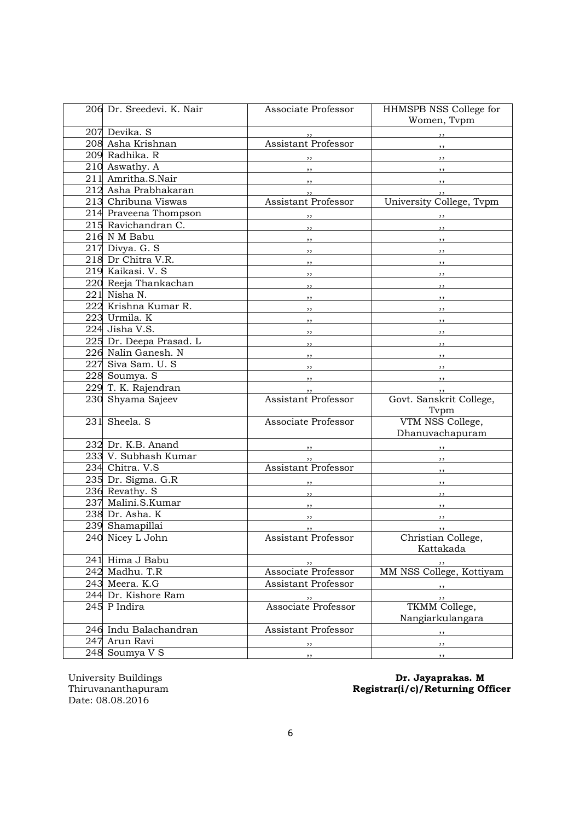| 206 Dr. Sreedevi. K. Nair    | Associate Professor                                 | HHMSPB NSS College for<br>Women, Typm               |
|------------------------------|-----------------------------------------------------|-----------------------------------------------------|
| 207 Devika. S                |                                                     | $, \, \,$                                           |
| 208 Asha Krishnan            | Assistant Professor                                 | $\overline{\phantom{a}}$                            |
| 209 Radhika. R               |                                                     | $, \, , \,$                                         |
| 210 Aswathy. A               | $, \,$                                              | $\overline{\phantom{a}}$                            |
| 211 Amritha.S.Nair           | $\cdots$                                            | $\overline{\phantom{a}}$                            |
| 212 Asha Prabhakaran         | , ,                                                 | , ,                                                 |
| 213 Chribuna Viswas          | <b>Assistant Professor</b>                          | University College, Tvpm                            |
| 214 Praveena Thompson        | $, \,$                                              | $, \, , \,$                                         |
| 215 Ravichandran C.          | $, -$                                               | , 1                                                 |
| 216 N M Babu                 | $\overline{\phantom{a}}$ , $\overline{\phantom{a}}$ | , ,                                                 |
| $\overline{217}$ Divya. G. S | $\overline{\phantom{a}}$                            |                                                     |
| 218 Dr Chitra V.R.           | $, \, \,$                                           | $\overline{\phantom{a}}$ , $\overline{\phantom{a}}$ |
| 219 Kaikasi. V. S            | $\overline{\phantom{a}}$                            |                                                     |
| 220 Reeja Thankachan         |                                                     | $, \, \,$                                           |
| $221$ Nisha N.               | $, \, \,$                                           |                                                     |
| 222 Krishna Kumar R.         | $, \, \,$                                           | $, \, \,$                                           |
| 223 Urmila. K                |                                                     | $\overline{\phantom{a}}$ , $\overline{\phantom{a}}$ |
| 224 Jisha V.S.               | ,,                                                  | $\overline{\phantom{a}}$                            |
| 225 Dr. Deepa Prasad. L      | $\overline{\phantom{a}}$                            | $\overline{\phantom{a}}$                            |
| 226 Nalin Ganesh. N          | $\overline{\phantom{a}}$                            | $\overline{\phantom{a}}$                            |
| 227 Siva Sam. U. S           |                                                     | $\overline{\phantom{a}}$                            |
| 228 Soumya. S                |                                                     | $\overline{\phantom{a}}$                            |
| 229 T. K. Rajendran          | $, \, \cdot$                                        | , ,                                                 |
| 230 Shyama Sajeev            | Assistant Professor                                 | Govt. Sanskrit College,                             |
|                              |                                                     | Tvpm                                                |
| 231 Sheela. S                | Associate Professor                                 | VTM NSS College,                                    |
|                              |                                                     | Dhanuvachapuram                                     |
| 232 Dr. K.B. Anand           | $\overline{\phantom{a}}$                            | $, \, \,$                                           |
| 233 V. Subhash Kumar         | , ,                                                 |                                                     |
| 234 Chitra. V.S              | <b>Assistant Professor</b>                          | $\overline{\phantom{a}}$                            |
| 235 Dr. Sigma. G.R           | , ,                                                 | $\overline{\phantom{a}}$                            |
| 236 Revathy. S               | $\overline{\phantom{a}}$ , $\overline{\phantom{a}}$ | $\frac{1}{2}$                                       |
| 237 Malini.S.Kumar           | , ,                                                 | $\overline{\phantom{a}}$                            |
| 238 Dr. Asha. K              | , ,                                                 | , ,                                                 |
| 239 Shamapillai              | , , ,                                               | , ,                                                 |
| 240 Nicey L John             | Assistant Professor                                 | Christian College,<br>Kattakada                     |
| 241 Hima J Babu              | , ,                                                 |                                                     |
| 242 Madhu. T.R               | Associate Professor                                 | MM NSS College, Kottiyam                            |
| 243 Meera. K.G               | Assistant Professor                                 |                                                     |
| 244 Dr. Kishore Ram          | , ,                                                 | ,,                                                  |
| 245 P Indira                 | Associate Professor                                 | TKMM College,                                       |
|                              |                                                     | Nangiarkulangara                                    |
| 246 Indu Balachandran        | Assistant Professor                                 | $, \,$                                              |
| 247 Arun Ravi                | $, \,$                                              | $, \,$                                              |
| 248 Soumya V S               | ,,                                                  | $, \,$                                              |

University Buildings<br>Thiruvananthapuram<br>Date: 08.08.2016

## University Buildings **Dr. Jayaprakas. M** Thiruvananthapuram Registrar(i/c)/Returning Officer